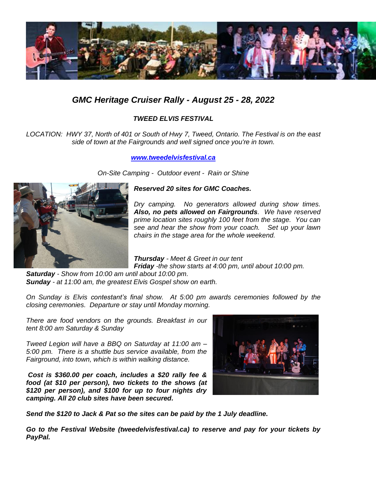

## *GMC Heritage Cruiser Rally - August 25 - 28, 2022*

## *TWEED ELVIS FESTIVAL*

*LOCATION: HWY 37, North of 401 or South of Hwy 7, Tweed, Ontario. The Festival is on the east side of town at the Fairgrounds and well signed once you're in town.*

*[www.tweedelvisfestival.ca](http://www.tweedelvisfestival.ca/)*

*On-Site Camping - Outdoor event - Rain or Shine*



## *Reserved 20 sites for GMC Coaches.*

*Dry camping. No generators allowed during show times. Also, no pets allowed on Fairgrounds. We have reserved prime location sites roughly 100 feet from the stage. You can see and hear the show from your coach. Set up your lawn chairs in the stage area for the whole weekend.*

*Thursday - Meet & Greet in our tent Friday -the show starts at 4:00 pm, until about 10:00 pm.*

*Saturday - Show from 10:00 am until about 10:00 pm. Sunday - at 11:00 am, the greatest Elvis Gospel show on earth.* 

*On Sunday is Elvis contestant's final show. At 5:00 pm awards ceremonies followed by the closing ceremonies. Departure or stay until Monday morning.*

*There are food vendors on the grounds. Breakfast in our tent 8:00 am Saturday & Sunday*

*Tweed Legion will have a BBQ on Saturday at 11:00 am – 5:00 pm. There is a shuttle bus service available, from the Fairground, into town, which is within walking distance.*

*Cost is \$360.00 per coach, includes a \$20 rally fee & food (at \$10 per person), two tickets to the shows (at \$120 per person), and \$100 for up to four nights dry camping. All 20 club sites have been secured.*



*Send the \$120 to Jack & Pat so the sites can be paid by the 1 July deadline.*

*Go to the Festival Website (tweedelvisfestival.ca) to reserve and pay for your tickets by PayPal.*